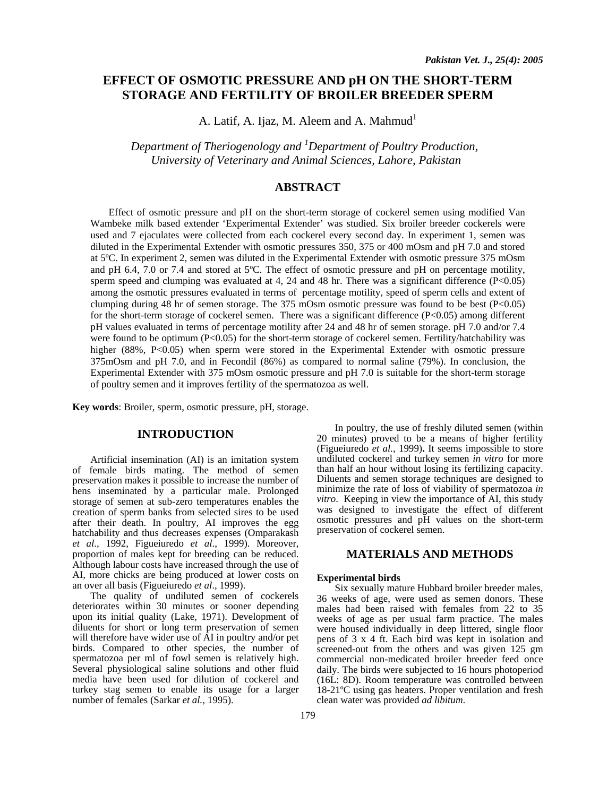# **EFFECT OF OSMOTIC PRESSURE AND pH ON THE SHORT-TERM STORAGE AND FERTILITY OF BROILER BREEDER SPERM**

A. Latif, A. Ijaz, M. Aleem and A. Mahmud<sup>1</sup>

*Department of Theriogenology and 1 Department of Poultry Production, University of Veterinary and Animal Sciences, Lahore, Pakistan* 

# **ABSTRACT**

Effect of osmotic pressure and pH on the short-term storage of cockerel semen using modified Van Wambeke milk based extender 'Experimental Extender' was studied. Six broiler breeder cockerels were used and 7 ejaculates were collected from each cockerel every second day. In experiment 1, semen was diluted in the Experimental Extender with osmotic pressures 350, 375 or 400 mOsm and pH 7.0 and stored at 5ºC. In experiment 2, semen was diluted in the Experimental Extender with osmotic pressure 375 mOsm and pH 6.4, 7.0 or 7.4 and stored at 5ºC. The effect of osmotic pressure and pH on percentage motility, sperm speed and clumping was evaluated at 4, 24 and 48 hr. There was a significant difference (P<0.05) among the osmotic pressures evaluated in terms of percentage motility, speed of sperm cells and extent of clumping during 48 hr of semen storage. The 375 mOsm osmotic pressure was found to be best (P<0.05) for the short-term storage of cockerel semen. There was a significant difference  $(P<0.05)$  among different pH values evaluated in terms of percentage motility after 24 and 48 hr of semen storage. pH 7.0 and/or 7.4 were found to be optimum (P<0.05) for the short-term storage of cockerel semen. Fertility/hatchability was higher (88%, P<0.05) when sperm were stored in the Experimental Extender with osmotic pressure 375mOsm and pH 7.0, and in Fecondil (86%) as compared to normal saline (79%). In conclusion, the Experimental Extender with 375 mOsm osmotic pressure and pH 7.0 is suitable for the short-term storage of poultry semen and it improves fertility of the spermatozoa as well.

**Key words**: Broiler, sperm, osmotic pressure, pH, storage.

## **INTRODUCTION**

Artificial insemination (AI) is an imitation system of female birds mating. The method of semen preservation makes it possible to increase the number of hens inseminated by a particular male. Prolonged storage of semen at sub-zero temperatures enables the creation of sperm banks from selected sires to be used after their death. In poultry, AI improves the egg hatchability and thus decreases expenses (Omparakash *et al*., 1992, Figueiuredo *et al*., 1999). Moreover, proportion of males kept for breeding can be reduced. Although labour costs have increased through the use of AI, more chicks are being produced at lower costs on an over all basis (Figueiuredo *et al*., 1999).

The quality of undiluted semen of cockerels deteriorates within 30 minutes or sooner depending upon its initial quality (Lake, 1971). Development of diluents for short or long term preservation of semen will therefore have wider use of AI in poultry and/or pet birds. Compared to other species, the number of spermatozoa per ml of fowl semen is relatively high. Several physiological saline solutions and other fluid media have been used for dilution of cockerel and turkey stag semen to enable its usage for a larger number of females (Sarkar *et al.*, 1995).

In poultry, the use of freshly diluted semen (within 20 minutes) proved to be a means of higher fertility (Figueiuredo *et al.*, 1999)**.** It seems impossible to store undiluted cockerel and turkey semen *in vitro* for more than half an hour without losing its fertilizing capacity. Diluents and semen storage techniques are designed to minimize the rate of loss of viability of spermatozoa *in vitro*. Keeping in view the importance of AI, this study was designed to investigate the effect of different osmotic pressures and pH values on the short-term preservation of cockerel semen.

# **MATERIALS AND METHODS**

#### **Experimental birds**

Six sexually mature Hubbard broiler breeder males, 36 weeks of age, were used as semen donors. These males had been raised with females from 22 to 35 weeks of age as per usual farm practice. The males were housed individually in deep littered, single floor pens of 3 x 4 ft. Each bird was kept in isolation and screened-out from the others and was given 125 gm commercial non-medicated broiler breeder feed once daily. The birds were subjected to 16 hours photoperiod (16L: 8D). Room temperature was controlled between 18-21ºC using gas heaters. Proper ventilation and fresh clean water was provided *ad libitum*.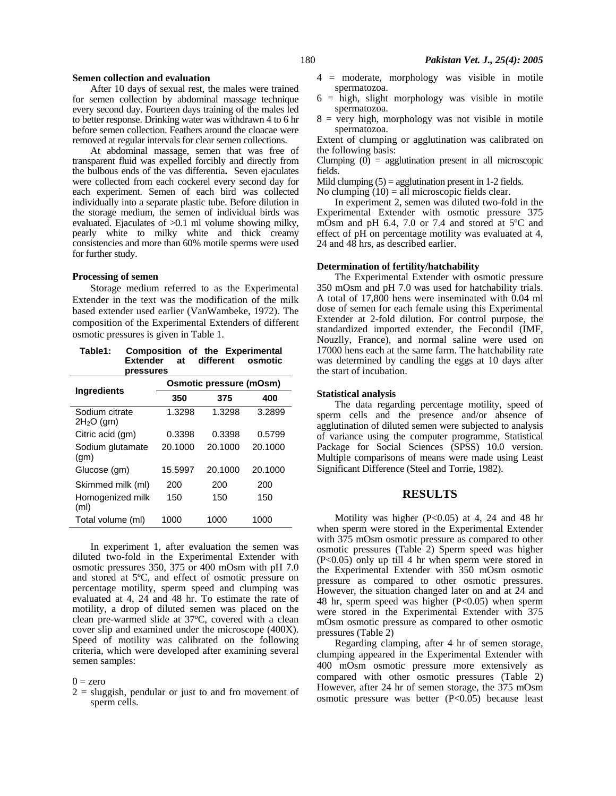#### **Semen collection and evaluation**

After 10 days of sexual rest, the males were trained for semen collection by abdominal massage technique every second day. Fourteen days training of the males led to better response. Drinking water was withdrawn 4 to 6 hr before semen collection. Feathers around the cloacae were removed at regular intervals for clear semen collections.

At abdominal massage, semen that was free of transparent fluid was expelled forcibly and directly from the bulbous ends of the vas differentia**.** Seven ejaculates were collected from each cockerel every second day for each experiment. Semen of each bird was collected individually into a separate plastic tube. Before dilution in the storage medium, the semen of individual birds was evaluated. Ejaculates of >0.1 ml volume showing milky, pearly white to milky white and thick creamy consistencies and more than 60% motile sperms were used for further study.

#### **Processing of semen**

Storage medium referred to as the Experimental Extender in the text was the modification of the milk based extender used earlier (VanWambeke, 1972). The composition of the Experimental Extenders of different osmotic pressures is given in Table 1.

| Table1: | Composition of the Experimental |  |  |  |  |
|---------|---------------------------------|--|--|--|--|
|         | Extender at different osmotic   |  |  |  |  |
|         | pressures                       |  |  |  |  |

| <b>Ingredients</b>            | Osmotic pressure (mOsm) |         |         |  |  |
|-------------------------------|-------------------------|---------|---------|--|--|
|                               | 350                     | 375     | 400     |  |  |
| Sodium citrate<br>$2H2O$ (gm) | 1.3298                  | 1.3298  | 3.2899  |  |  |
| Citric acid (gm)              | 0.3398                  | 0.3398  | 0.5799  |  |  |
| Sodium glutamate<br>(gm)      | 20.1000                 | 20.1000 | 20.1000 |  |  |
| Glucose (gm)                  | 15.5997                 | 20.1000 | 20.1000 |  |  |
| Skimmed milk (ml)             | 200                     | 200     | 200     |  |  |
| Homogenized milk<br>(ml)      | 150                     | 150     | 150     |  |  |
| Total volume (ml)             | 1000                    | 1000    | 1000    |  |  |

In experiment 1, after evaluation the semen was diluted two-fold in the Experimental Extender with osmotic pressures 350, 375 or 400 mOsm with pH 7.0 and stored at 5ºC, and effect of osmotic pressure on percentage motility, sperm speed and clumping was evaluated at 4, 24 and 48 hr. To estimate the rate of motility, a drop of diluted semen was placed on the clean pre-warmed slide at 37ºC, covered with a clean cover slip and examined under the microscope (400X). Speed of motility was calibrated on the following criteria, which were developed after examining several semen samples:

 $0 =$ zero

 $2 =$  sluggish, pendular or just to and fro movement of sperm cells.

- 4 = moderate, morphology was visible in motile spermatozoa.
- $6 =$  high, slight morphology was visible in motile spermatozoa.
- $8 =$  very high, morphology was not visible in motile spermatozoa.

Extent of clumping or agglutination was calibrated on the following basis:

Clumping  $\overline{(0)}$  = agglutination present in all microscopic fields.

Mild clumping  $(5)$  = agglutination present in 1-2 fields.

No clumping  $(10)$  = all microscopic fields clear.

In experiment 2, semen was diluted two-fold in the Experimental Extender with osmotic pressure 375 mOsm and pH 6.4, 7.0 or 7.4 and stored at 5ºC and effect of pH on percentage motility was evaluated at 4, 24 and 48 hrs, as described earlier.

#### **Determination of fertility/hatchability**

The Experimental Extender with osmotic pressure 350 mOsm and pH 7.0 was used for hatchability trials. A total of 17,800 hens were inseminated with 0.04 ml dose of semen for each female using this Experimental Extender at 2-fold dilution. For control purpose, the standardized imported extender, the Fecondil (IMF, Nouzlly, France), and normal saline were used on 17000 hens each at the same farm. The hatchability rate was determined by candling the eggs at 10 days after the start of incubation.

#### **Statistical analysis**

The data regarding percentage motility, speed of sperm cells and the presence and/or absence of agglutination of diluted semen were subjected to analysis of variance using the computer programme, Statistical Package for Social Sciences (SPSS) 10.0 version. Multiple comparisons of means were made using Least Significant Difference (Steel and Torrie, 1982).

### **RESULTS**

Motility was higher (P<0.05) at 4, 24 and 48 hr when sperm were stored in the Experimental Extender with 375 mOsm osmotic pressure as compared to other osmotic pressures (Table 2) Sperm speed was higher (P<0.05) only up till 4 hr when sperm were stored in the Experimental Extender with 350 mOsm osmotic pressure as compared to other osmotic pressures. However, the situation changed later on and at 24 and 48 hr, sperm speed was higher (P<0.05) when sperm were stored in the Experimental Extender with 375 mOsm osmotic pressure as compared to other osmotic pressures (Table 2)

Regarding clamping, after 4 hr of semen storage, clumping appeared in the Experimental Extender with 400 mOsm osmotic pressure more extensively as compared with other osmotic pressures (Table 2) However, after 24 hr of semen storage, the 375 mOsm osmotic pressure was better (P<0.05) because least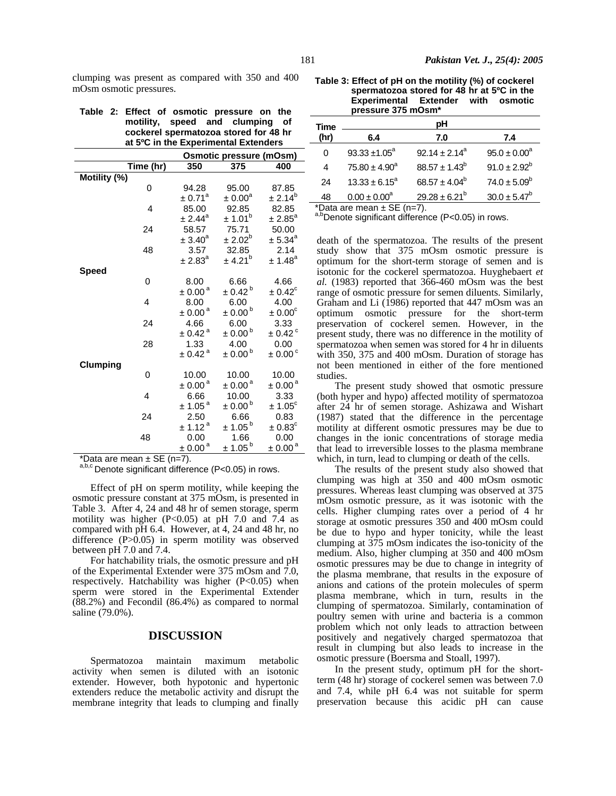clumping was present as compared with 350 and 400 mOsm osmotic pressures.

|  | Table 2: Effect of osmotic pressure on the |
|--|--------------------------------------------|
|  | motility, speed and clumping of            |
|  | cockerel spermatozoa stored for 48 hr      |
|  | at 5°C in the Experimental Extenders       |

|                 |           |                         | <b>Osmotic pressure (mOsm)</b> |                         |
|-----------------|-----------|-------------------------|--------------------------------|-------------------------|
|                 | Time (hr) | 350                     | 375                            | 400                     |
| Motility (%)    |           |                         |                                |                         |
|                 | 0         | 94.28                   | 95.00                          | 87.85                   |
|                 |           | $\pm$ 0.71 <sup>a</sup> | $\pm 0.00^{\text{a}}$          | ± 2.14 <sup>b</sup>     |
|                 | 4         | 85.00                   | 92.85                          | 82.85                   |
|                 |           | $\pm 2.44^\text{a}$     | ± 1.01 <sup>b</sup>            | $\pm 2.85^\text{a}$     |
|                 | 24        | 58.57                   | 75.71                          | 50.00                   |
|                 |           | $\pm 3.40^\text{a}$     | $\pm 2.02^b$                   | $\pm 5.34$ <sup>a</sup> |
|                 | 48        | 3.57                    | 32.85                          | 2.14                    |
|                 |           | ± 2.83 <sup>a</sup>     | ± 4.21 <sup>b</sup>            | $\pm$ 1.48 <sup>a</sup> |
| Speed           |           |                         |                                |                         |
|                 | 0         | 8.00                    | 6.66                           | 4.66                    |
|                 |           | $\pm 0.00^{\text{ a}}$  | $\pm 0.42^{\text{ b}}$         | $\pm 0.42^{\circ}$      |
|                 | 4         | 8.00                    | 6.00                           | 4.00                    |
|                 |           | $\pm$ 0.00 <sup>a</sup> | $\pm$ 0.00 <sup>b</sup>        | $\pm 0.00^{\circ}$      |
|                 | 24        | 4.66                    | 6.00                           | 3.33                    |
|                 |           | $\pm$ 0.42 $^{\rm a}$   | $\pm$ 0.00 <sup>b</sup>        | $\pm$ 0.42 $^\circ$     |
|                 | 28        | 1.33                    | 4.00                           | 0.00                    |
|                 |           | $\pm$ 0.42 <sup>a</sup> | $\pm$ 0.00 <sup>b</sup>        | $\pm 0.00^{\circ}$      |
| <b>Clumping</b> |           |                         |                                |                         |
|                 | 0         | 10.00                   | 10.00                          | 10.00                   |
|                 |           | $\pm$ 0.00 <sup>a</sup> | $\pm$ 0.00 <sup>a</sup>        | $\pm$ 0.00 <sup>a</sup> |
|                 | 4         | 6.66                    | 10.00                          | 3.33                    |
|                 |           | ± 1.05 <sup>a</sup>     | $\pm$ 0.00 <sup>b</sup>        | $± 1.05^{\circ}$        |
|                 | 24        | 2.50                    | 6.66                           | 0.83                    |
|                 |           | ± 1.12 <sup>a</sup>     | $± 1.05^{b}$                   | $\pm 0.83^{\circ}$      |
|                 | 48        | 0.00                    | 1.66                           | 0.00                    |
|                 |           | $\pm 0.00^{\text{a}}$   | $± 1.05^{b}$                   | $\pm 0.00^{\text{a}}$   |

\*Data are mean  $\pm$  SE (n=7).

a,b,c Denote significant difference (P<0.05) in rows.

Effect of pH on sperm motility, while keeping the osmotic pressure constant at 375 mOsm, is presented in Table 3. After 4, 24 and 48 hr of semen storage, sperm motility was higher (P<0.05) at pH 7.0 and 7.4 as compared with pH 6.4. However, at 4, 24 and 48 hr, no difference  $(P>0.05)$  in sperm motility was observed between pH 7.0 and 7.4.

For hatchability trials, the osmotic pressure and pH of the Experimental Extender were 375 mOsm and 7.0, respectively. Hatchability was higher (P<0.05) when sperm were stored in the Experimental Extender (88.2%) and Fecondil (86.4%) as compared to normal saline (79.0%).

# **DISCUSSION**

Spermatozoa maintain maximum metabolic activity when semen is diluted with an isotonic extender. However, both hypotonic and hypertonic extenders reduce the metabolic activity and disrupt the membrane integrity that leads to clumping and finally

**Table 3: Effect of pH on the motility (%) of cockerel spermatozoa stored for 48 hr at 5ºC in the Experimental Extender with osmotic pressure 375 mOsm\*** 

| Time    | рH                 |                         |                   |  |  |  |
|---------|--------------------|-------------------------|-------------------|--|--|--|
| (hr)    | 6.4                | 7.0                     | 7.4               |  |  |  |
| 0       | $93.33 \pm 1.05^a$ | $92.14 \pm 2.14^a$      | $95.0 \pm 0.00^a$ |  |  |  |
| 4       | $75.80 \pm 4.90^a$ | $88.57 \pm 1.43^b$      | $91.0 \pm 2.92^b$ |  |  |  |
| 24      | $13.33 \pm 6.15^a$ | $68.57 \pm 4.04^b$      | $74.0 \pm 5.09^b$ |  |  |  |
| 48<br>. | $0.00 \pm 0.00^a$  | $29.28 \pm 6.21^b$<br>- | $30.0 \pm 5.47^b$ |  |  |  |

\*Data are mean  $\pm$  SE (n=7).

a,bDenote significant difference (P<0.05) in rows.

death of the spermatozoa. The results of the present study show that 375 mOsm osmotic pressure is optimum for the short-term storage of semen and is isotonic for the cockerel spermatozoa. Huyghebaert *et al.* (1983) reported that 366-460 mOsm was the best range of osmotic pressure for semen diluents. Similarly, Graham and Li (1986) reported that 447 mOsm was an optimum osmotic pressure for the short-term preservation of cockerel semen. However, in the present study, there was no difference in the motility of spermatozoa when semen was stored for 4 hr in diluents with 350, 375 and 400 mOsm. Duration of storage has not been mentioned in either of the fore mentioned studies.

The present study showed that osmotic pressure (both hyper and hypo) affected motility of spermatozoa after 24 hr of semen storage. Ashizawa and Wishart (1987) stated that the difference in the percentage motility at different osmotic pressures may be due to changes in the ionic concentrations of storage media that lead to irreversible losses to the plasma membrane which, in turn, lead to clumping or death of the cells.

The results of the present study also showed that clumping was high at 350 and 400 mOsm osmotic pressures. Whereas least clumping was observed at 375 mOsm osmotic pressure, as it was isotonic with the cells. Higher clumping rates over a period of 4 hr storage at osmotic pressures 350 and 400 mOsm could be due to hypo and hyper tonicity, while the least clumping at 375 mOsm indicates the iso-tonicity of the medium. Also, higher clumping at 350 and 400 mOsm osmotic pressures may be due to change in integrity of the plasma membrane, that results in the exposure of anions and cations of the protein molecules of sperm plasma membrane, which in turn, results in the clumping of spermatozoa. Similarly, contamination of poultry semen with urine and bacteria is a common problem which not only leads to attraction between positively and negatively charged spermatozoa that result in clumping but also leads to increase in the osmotic pressure (Boersma and Stoall, 1997).

In the present study, optimum pH for the shortterm (48 hr) storage of cockerel semen was between 7.0 and 7.4, while pH 6.4 was not suitable for sperm preservation because this acidic pH can cause